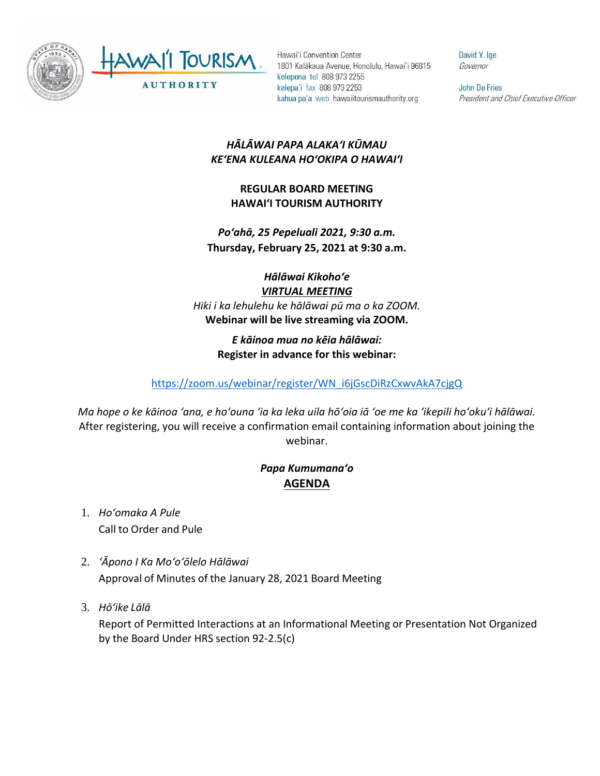

Hawai'i Convention Center 1801 Kalākaua Avenue, Honolulu, Hawai'i 96815 kelepona tel 808 973 2255 kelepa'i fax 808 973 2253 kahua pa'a web hawaiitourismauthority.org

David Y. Ige Governor

John De Fries President and Chief Executive Officer

## *HĀLĀWAI PAPA ALAKAʻI KŪMAU KEʻENA KULEANA HOʻOKIPA O HAWAIʻI*

**REGULAR BOARD MEETING HAWAI'I TOURISM AUTHORITY**

*Poʻahā, 25 Pepeluali 2021, 9:30 a.m.* **Thursday, February 25, 2021 at 9:30 a.m.**

*Hālāwai Kikohoʻe VIRTUAL MEETING Hiki i ka lehulehu ke hālāwai pū ma o ka ZOOM.* **Webinar will be live streaming via ZOOM.**

> *E kāinoa mua no kēia hālāwai:* **Register in advance for this webinar:**

[https://zoom.us/webinar/register/WN\\_i6jGscDiRzCxwvAkA7cjgQ](https://zoom.us/webinar/register/WN_i6jGscDiRzCxwvAkA7cjgQ)

*Ma hope o ke kāinoa ʻana, e hoʻouna ʻia ka leka uila hōʻoia iā ʻoe me ka ʻikepili hoʻokuʻi hālāwai.* After registering, you will receive a confirmation email containing information about joining the webinar.

## *Papa Kumumanaʻo* **AGENDA**

- 1. *Ho'omaka A Pule* Call to Order and Pule
- 2. *ʻĀpono I Ka Moʻoʻōlelo Hālāwai* Approval of Minutes of the January 28, 2021 Board Meeting
- 3. *Hō'ike Lālā*

Report of Permitted Interactions at an Informational Meeting or Presentation Not Organized by the Board Under HRS section 92-2.5(c)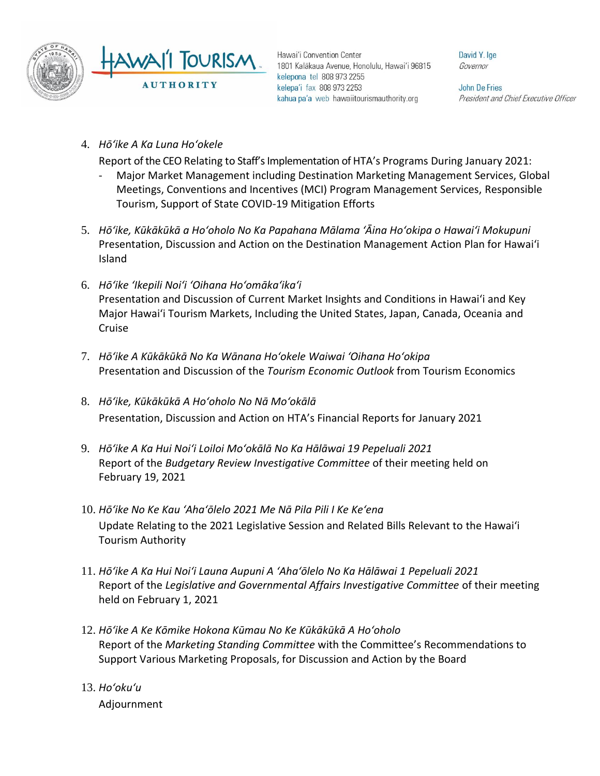

Hawai'i Convention Center 1801 Kalākaua Avenue, Honolulu, Hawai'i 96815 kelepona tel 808 973 2255 kelepa'i fax 808 973 2253 kahua pa'a web hawaiitourismauthority.org

David Y. Ige Governor

**John De Fries** President and Chief Executive Officer

4. *Hōʻike A Ka Luna Hoʻokele*

Report of the CEO Relating to Staff's Implementation of HTA's Programs During January 2021:

- Major Market Management including Destination Marketing Management Services, Global Meetings, Conventions and Incentives (MCI) Program Management Services, Responsible Tourism, Support of State COVID-19 Mitigation Efforts
- 5. *Hōʻike, Kūkākūkā a Hoʻoholo No Ka Papahana Mālama ʻĀina Hoʻokipa o Hawaiʻi Mokupuni* Presentation, Discussion and Action on the Destination Management Action Plan for Hawaiʻi Island
- 6. *Hōʻike ʻIkepili Noiʻi ʻOihana Hoʻomākaʻikaʻi* Presentation and Discussion of Current Market Insights and Conditions in Hawai'i and Key Major Hawai'i Tourism Markets, Including the United States, Japan, Canada, Oceania and Cruise
- 7. *Hōʻike A Kūkākūkā No Ka Wānana Hoʻokele Waiwai ʻOihana Hoʻokipa* Presentation and Discussion of the *Tourism Economic Outlook* from Tourism Economics
- 8. *Hōʻike, Kūkākūkā A Hoʻoholo No Nā Moʻokālā*  Presentation, Discussion and Action on HTA's Financial Reports for January 2021
- 9. *Hōʻike A Ka Hui Noiʻi Loiloi Moʻokālā No Ka Hālāwai 19 Pepeluali 2021* Report of the *Budgetary Review Investigative Committee* of their meeting held on February 19, 2021
- 10. *Hōʻike No Ke Kau ʻAhaʻōlelo 2021 Me Nā Pila Pili I Ke Keʻena* Update Relating to the 2021 Legislative Session and Related Bills Relevant to the Hawaiʻi Tourism Authority
- 11. *Hōʻike A Ka Hui Noiʻi Launa Aupuni A ʻAhaʻōlelo No Ka Hālāwai 1 Pepeluali 2021* Report of the *Legislative and Governmental Affairs Investigative Committee* of their meeting held on February 1, 2021
- 12. *Hōʻike A Ke Kōmike Hokona Kūmau No Ke Kūkākūkā A Hoʻoholo* Report of the *Marketing Standing Committee* with the Committee's Recommendations to Support Various Marketing Proposals, for Discussion and Action by the Board
- 13. *Ho'oku'u* Adjournment